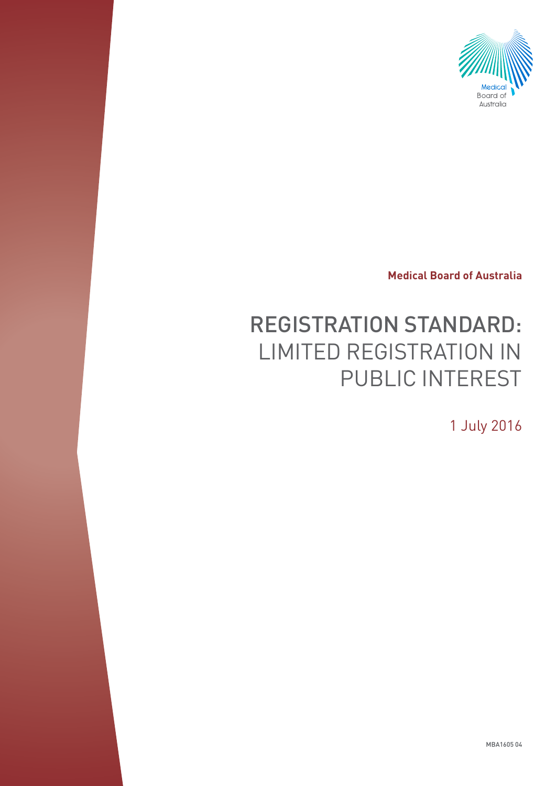

**Medical Board of Australia**

# REGISTRATION STANDARD: LIMITED REGISTRATION IN PUBLIC INTEREST

1 July 2016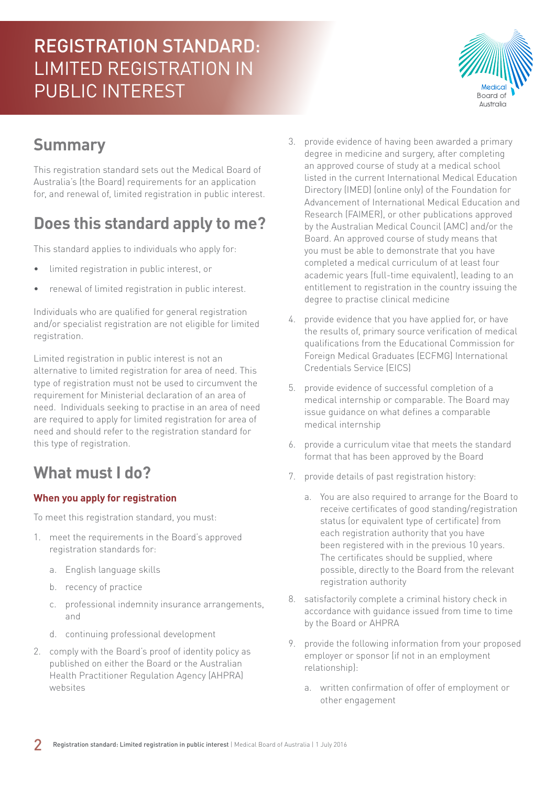

## **Summary**

This registration standard sets out the Medical Board of Australia's (the Board) requirements for an application for, and renewal of, limited registration in public interest.

## **Does this standard apply to me?**

This standard applies to individuals who apply for:

- limited registration in public interest, or
- renewal of limited registration in public interest.

Individuals who are qualified for general registration and/or specialist registration are not eligible for limited registration.

Limited registration in public interest is not an alternative to limited registration for area of need. This type of registration must not be used to circumvent the requirement for Ministerial declaration of an area of need. Individuals seeking to practise in an area of need are required to apply for limited registration for area of need and should refer to the registration standard for this type of registration.

### **What must I do?**

#### **When you apply for registration**

To meet this registration standard, you must:

- 1. meet the requirements in the Board's approved registration standards for:
	- a. English language skills
	- b. recency of practice
	- c. professional indemnity insurance arrangements, and
	- d. continuing professional development
- 2. comply with the Board's proof of identity policy as published on either the Board or the Australian Health Practitioner Regulation Agency (AHPRA) websites
- 3. provide evidence of having been awarded a primary degree in medicine and surgery, after completing an approved course of study at a medical school listed in the current International Medical Education Directory (IMED) (online only) of the Foundation for Advancement of International Medical Education and Research (FAIMER), or other publications approved by the Australian Medical Council (AMC) and/or the Board. An approved course of study means that you must be able to demonstrate that you have completed a medical curriculum of at least four academic years (full-time equivalent), leading to an entitlement to registration in the country issuing the degree to practise clinical medicine
- 4. provide evidence that you have applied for, or have the results of, primary source verification of medical qualifications from the Educational Commission for Foreign Medical Graduates (ECFMG) International Credentials Service (EICS)
- 5. provide evidence of successful completion of a medical internship or comparable. The Board may issue guidance on what defines a comparable medical internship
- 6. provide a curriculum vitae that meets the standard format that has been approved by the Board
- 7. provide details of past registration history:
	- a. You are also required to arrange for the Board to receive certificates of good standing/registration status (or equivalent type of certificate) from each registration authority that you have been registered with in the previous 10 years. The certificates should be supplied, where possible, directly to the Board from the relevant registration authority
- 8. satisfactorily complete a criminal history check in accordance with guidance issued from time to time by the Board or AHPRA
- 9. provide the following information from your proposed employer or sponsor (if not in an employment relationship):
	- a. written confirmation of offer of employment or other engagement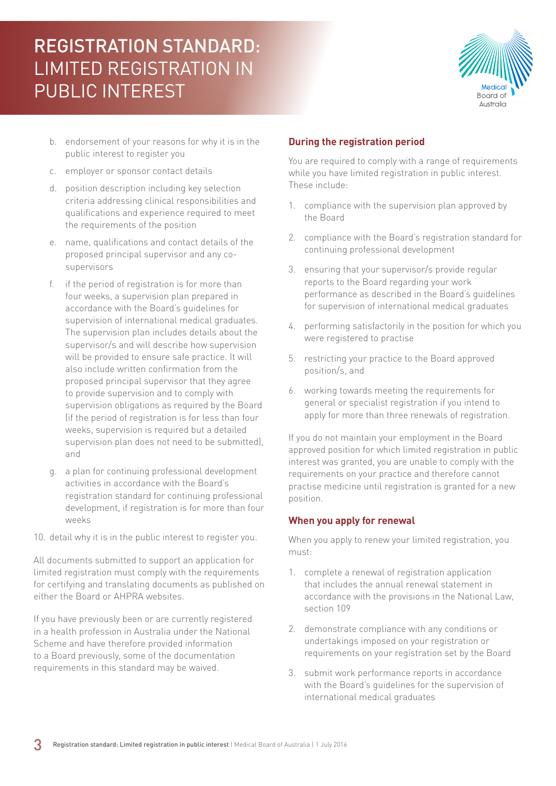

- b. endorsement of your reasons for why it is in the public interest to register you
- c. employer or sponsor contact details
- d. position description including key selection criteria addressing clinical responsibilities and qualifications and experience required to meet the requirements of the position
- e. name, qualifications and contact details of the proposed principal supervisor and any cosupervisors
- f. if the period of registration is for more than four weeks, a supervision plan prepared in accordance with the Board's guidelines for supervision of international medical graduates. The supervision plan includes details about the supervisor/s and will describe how supervision will be provided to ensure safe practice. It will also include written confirmation from the proposed principal supervisor that they agree to provide supervision and to comply with supervision obligations as required by the Board (if the period of registration is for less than four weeks, supervision is required but a detailed supervision plan does not need to be submitted), and
- g. a plan for continuing professional development activities in accordance with the Board's registration standard for continuing professional development, if registration is for more than four weeks
- 10. detail why it is in the public interest to register you.

All documents submitted to support an application for limited registration must comply with the requirements for certifying and translating documents as published on either the Board or AHPRA websites.

If you have previously been or are currently registered in a health profession in Australia under the National Scheme and have therefore provided information to a Board previously, some of the documentation requirements in this standard may be waived.

#### **During the registration period**

You are required to comply with a range of requirements while you have limited registration in public interest. These include:

- 1. compliance with the supervision plan approved by the Board
- 2. compliance with the Board's registration standard for continuing professional development
- 3. ensuring that your supervisor/s provide regular reports to the Board regarding your work performance as described in the Board's guidelines for supervision of international medical graduates
- 4. performing satisfactorily in the position for which you were registered to practise
- 5. restricting your practice to the Board approved position/s, and
- 6. working towards meeting the requirements for general or specialist registration if you intend to apply for more than three renewals of registration.

If you do not maintain your employment in the Board approved position for which limited registration in public interest was granted, you are unable to comply with the requirements on your practice and therefore cannot practise medicine until registration is granted for a new position.

#### **When you apply for renewal**

When you apply to renew your limited registration, you must:

- 1. complete a renewal of registration application that includes the annual renewal statement in accordance with the provisions in the National Law, section 109
- 2. demonstrate compliance with any conditions or undertakings imposed on your registration or requirements on your registration set by the Board
- 3. submit work performance reports in accordance with the Board's guidelines for the supervision of international medical graduates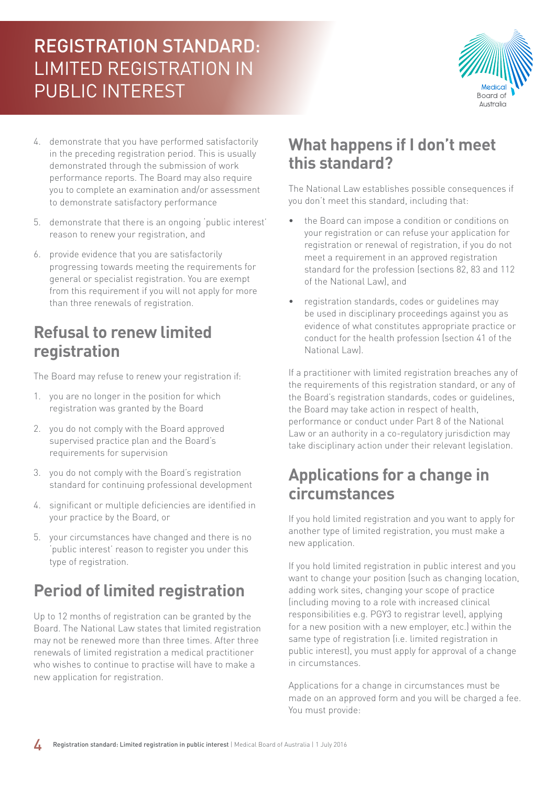

- 4. demonstrate that you have performed satisfactorily in the preceding registration period. This is usually demonstrated through the submission of work performance reports. The Board may also require you to complete an examination and/or assessment to demonstrate satisfactory performance
- 5. demonstrate that there is an ongoing 'public interest' reason to renew your registration, and
- 6. provide evidence that you are satisfactorily progressing towards meeting the requirements for general or specialist registration. You are exempt from this requirement if you will not apply for more than three renewals of registration.

#### **Refusal to renew limited registration**

The Board may refuse to renew your registration if:

- 1. you are no longer in the position for which registration was granted by the Board
- 2. you do not comply with the Board approved supervised practice plan and the Board's requirements for supervision
- 3. you do not comply with the Board's registration standard for continuing professional development
- 4. significant or multiple deficiencies are identified in your practice by the Board, or
- 5. your circumstances have changed and there is no 'public interest' reason to register you under this type of registration.

## **Period of limited registration**

Up to 12 months of registration can be granted by the Board. The National Law states that limited registration may not be renewed more than three times. After three renewals of limited registration a medical practitioner who wishes to continue to practise will have to make a new application for registration.

### **What happens if I don't meet this standard?**

The National Law establishes possible consequences if you don't meet this standard, including that:

- the Board can impose a condition or conditions on your registration or can refuse your application for registration or renewal of registration, if you do not meet a requirement in an approved registration standard for the profession (sections 82, 83 and 112 of the National Law), and
- registration standards, codes or guidelines may be used in disciplinary proceedings against you as evidence of what constitutes appropriate practice or conduct for the health profession (section 41 of the National Law).

If a practitioner with limited registration breaches any of the requirements of this registration standard, or any of the Board's registration standards, codes or guidelines, the Board may take action in respect of health, performance or conduct under Part 8 of the National Law or an authority in a co-regulatory jurisdiction may take disciplinary action under their relevant legislation.

### **Applications for a change in circumstances**

If you hold limited registration and you want to apply for another type of limited registration, you must make a new application.

If you hold limited registration in public interest and you want to change your position (such as changing location, adding work sites, changing your scope of practice (including moving to a role with increased clinical responsibilities e.g. PGY3 to registrar level), applying for a new position with a new employer, etc.) within the same type of registration (i.e. limited registration in public interest), you must apply for approval of a change in circumstances.

Applications for a change in circumstances must be made on an approved form and you will be charged a fee. You must provide: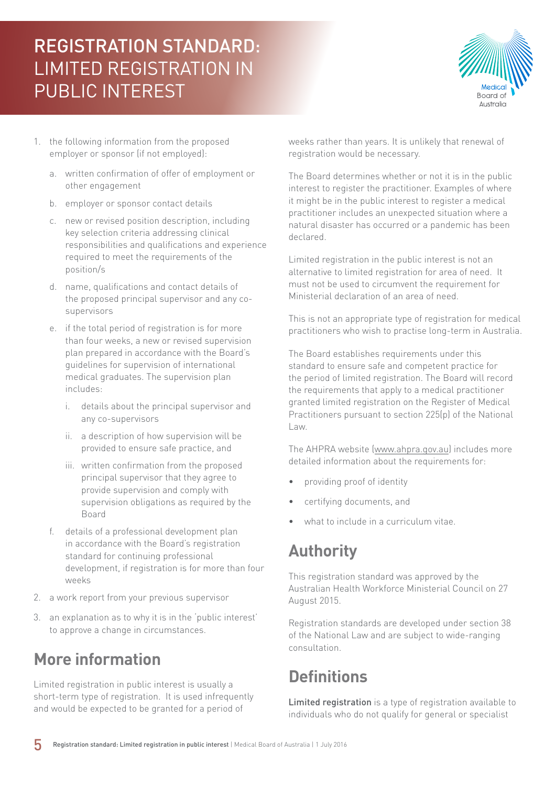

- 1. the following information from the proposed employer or sponsor (if not employed):
	- a. written confirmation of offer of employment or other engagement
	- b. employer or sponsor contact details
	- c. new or revised position description, including key selection criteria addressing clinical responsibilities and qualifications and experience required to meet the requirements of the position/s
	- d. name, qualifications and contact details of the proposed principal supervisor and any cosupervisors
	- e. if the total period of registration is for more than four weeks, a new or revised supervision plan prepared in accordance with the Board's guidelines for supervision of international medical graduates. The supervision plan includes:
		- i. details about the principal supervisor and any co-supervisors
		- ii. a description of how supervision will be provided to ensure safe practice, and
		- iii. written confirmation from the proposed principal supervisor that they agree to provide supervision and comply with supervision obligations as required by the Board
	- f. details of a professional development plan in accordance with the Board's registration standard for continuing professional development, if registration is for more than four weeks
- 2. a work report from your previous supervisor
- 3. an explanation as to why it is in the 'public interest' to approve a change in circumstances.

## **More information**

Limited registration in public interest is usually a short-term type of registration. It is used infrequently and would be expected to be granted for a period of

weeks rather than years. It is unlikely that renewal of registration would be necessary.

The Board determines whether or not it is in the public interest to register the practitioner. Examples of where it might be in the public interest to register a medical practitioner includes an unexpected situation where a natural disaster has occurred or a pandemic has been declared.

Limited registration in the public interest is not an alternative to limited registration for area of need. It must not be used to circumvent the requirement for Ministerial declaration of an area of need.

This is not an appropriate type of registration for medical practitioners who wish to practise long-term in Australia.

The Board establishes requirements under this standard to ensure safe and competent practice for the period of limited registration. The Board will record the requirements that apply to a medical practitioner granted limited registration on the Register of Medical Practitioners pursuant to section 225(p) of the National Law.

The AHPRA website [\(www.ahpra.gov.au\)](http://www.ahpra.gov.au) includes more detailed information about the requirements for:

- providing proof of identity
- certifying documents, and
- what to include in a curriculum vitae.

## **Authority**

This registration standard was approved by the Australian Health Workforce Ministerial Council on 27 August 2015.

Registration standards are developed under section 38 of the National Law and are subject to wide-ranging consultation.

## **Definitions**

Limited registration is a type of registration available to individuals who do not qualify for general or specialist